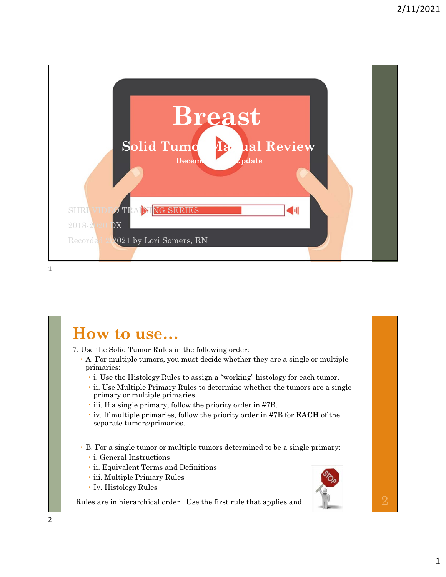

#### **How to use…**

7. Use the Solid Tumor Rules in the following order:

- A. For multiple tumors, you must decide whether they are a single or multiple primaries:
	- i. Use the Histology Rules to assign a "working" histology for each tumor.
	- ii. Use Multiple Primary Rules to determine whether the tumors are a single primary or multiple primaries.
	- iii. If a single primary, follow the priority order in #7B.
	- iv. If multiple primaries, follow the priority order in #7B for **EACH** of the separate tumors/primaries.
- B. For a single tumor or multiple tumors determined to be a single primary:
	- i. General Instructions
	- ii. Equivalent Terms and Definitions
	- iii. Multiple Primary Rules
	- Iv. Histology Rules

Rules are in hierarchical order. Use the first rule that applies and  $2$ 

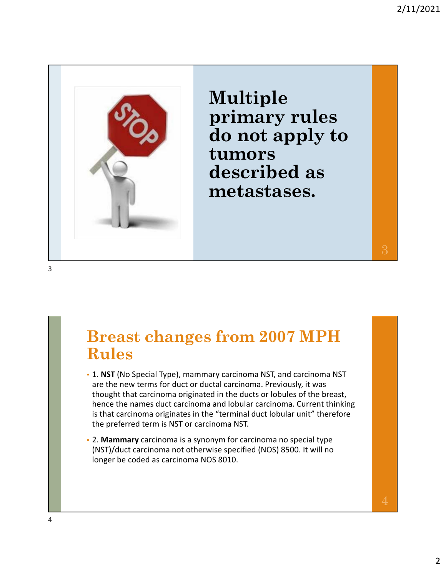

**Multiple primary rules do not apply to tumors described as metastases.**

#### **Breast changes from 2007 MPH Rules**

- 1. **NST** (No Special Type), mammary carcinoma NST, and carcinoma NST are the new terms for duct or ductal carcinoma. Previously, it was thought that carcinoma originated in the ducts or lobules of the breast, hence the names duct carcinoma and lobular carcinoma. Current thinking is that carcinoma originates in the "terminal duct lobular unit" therefore the preferred term is NST or carcinoma NST.
- 2. **Mammary** carcinoma is a synonym for carcinoma no special type (NST)/duct carcinoma not otherwise specified (NOS) 8500. It will no longer be coded as carcinoma NOS 8010.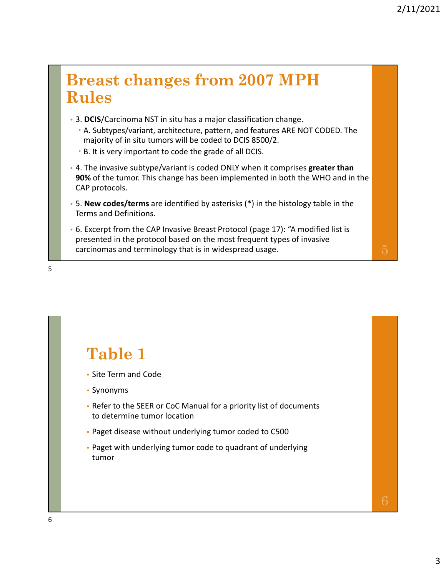#### **Breast changes from 2007 MPH Rules**

- 3. **DCIS**/Carcinoma NST in situ has a major classification change.
	- A. Subtypes/variant, architecture, pattern, and features ARE NOT CODED. The majority of in situ tumors will be coded to DCIS 8500/2.
	- B. It is very important to code the grade of all DCIS.
- 4. The invasive subtype/variant is coded ONLY when it comprises **greater than 90%** of the tumor. This change has been implemented in both the WHO and in the CAP protocols.
- 5. **New codes/terms** are identified by asterisks (\*) in the histology table in the Terms and Definitions.
- 6. Excerpt from the CAP Invasive Breast Protocol (page 17): "A modified list is presented in the protocol based on the most frequent types of invasive carcinomas and terminology that is in widespread usage.  $5\,$

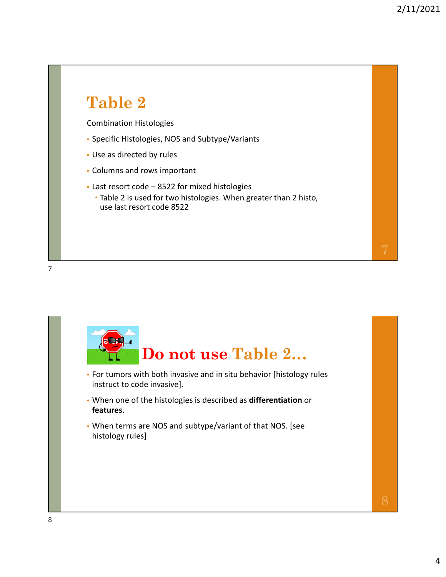# **Table 2** Combination Histologies • Specific Histologies, NOS and Subtype/Variants • Use as directed by rules • Columns and rows important • Last resort code – 8522 for mixed histologies Table 2 is used for two histologies. When greater than 2 histo, use last resort code 8522

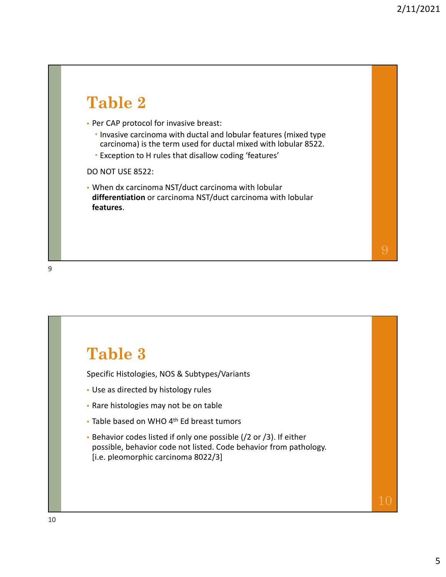#### **Table 2** • Per CAP protocol for invasive breast: Invasive carcinoma with ductal and lobular features (mixed type carcinoma) is the term used for ductal mixed with lobular 8522. Exception to H rules that disallow coding 'features' DO NOT USE 8522: • When dx carcinoma NST/duct carcinoma with lobular **differentiation** or carcinoma NST/duct carcinoma with lobular **features**.

9

#### **Table 3**

Specific Histologies, NOS & Subtypes/Variants

- Use as directed by histology rules
- Rare histologies may not be on table
- Table based on WHO 4<sup>th</sup> Ed breast tumors
- Behavior codes listed if only one possible (/2 or /3). If either possible, behavior code not listed. Code behavior from pathology. [i.e. pleomorphic carcinoma 8022/3]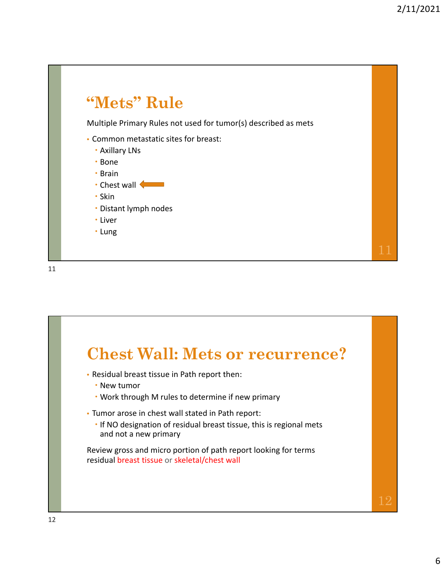

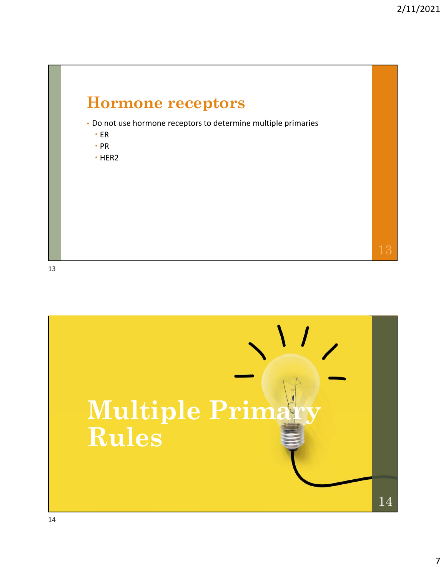

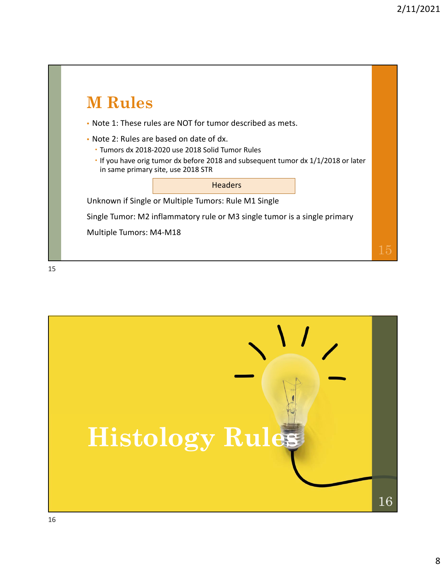

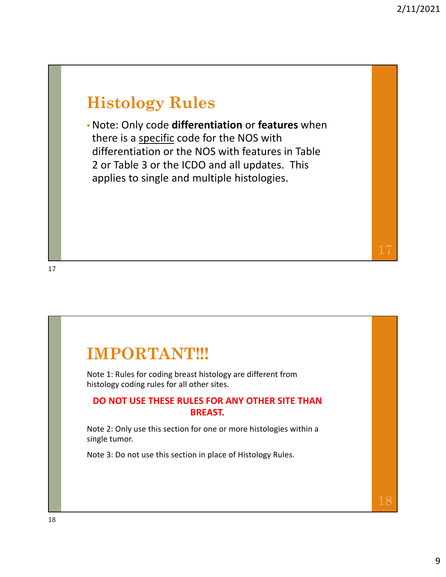#### **Histology Rules**

• Note: Only code **differentiation** or **features** when there is a specific code for the NOS with differentiation or the NOS with features in Table 2 or Table 3 or the ICDO and all updates. This applies to single and multiple histologies.

#### **IMPORTANT!!!**

Note 1: Rules for coding breast histology are different from histology coding rules for all other sites.

#### **DO NOT USE THESE RULES FOR ANY OTHER SITE THAN BREAST.**

Note 2: Only use this section for one or more histologies within a single tumor.

Note 3: Do not use this section in place of Histology Rules.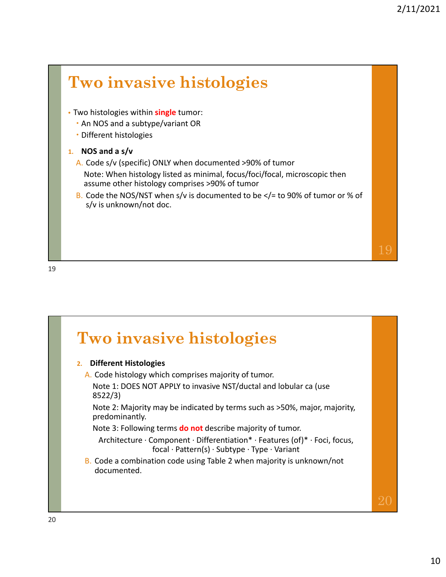

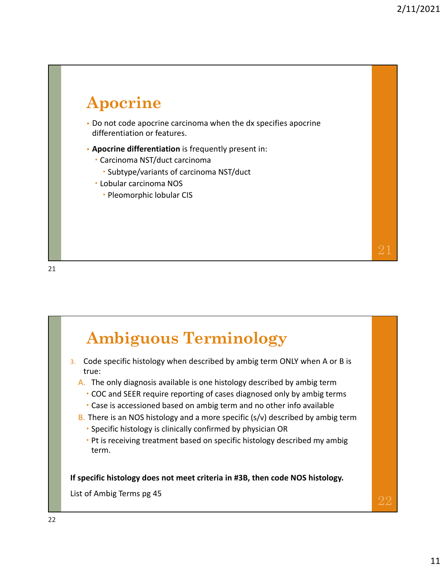### **Apocrine**

- Do not code apocrine carcinoma when the dx specifies apocrine differentiation or features.
- **Apocrine differentiation** is frequently present in:
	- Carcinoma NST/duct carcinoma
		- Subtype/variants of carcinoma NST/duct
	- Lobular carcinoma NOS
		- Pleomorphic lobular CIS

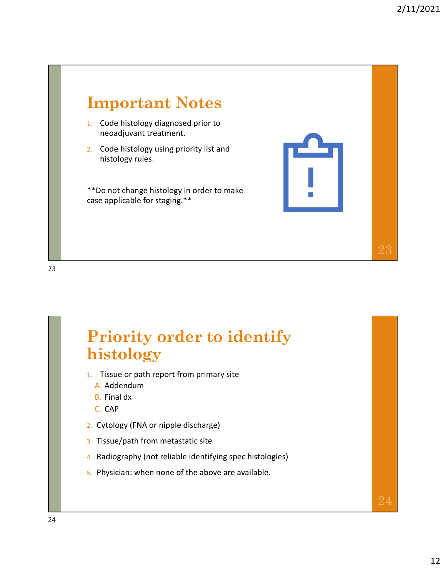



- 1. Tissue or path report from primary site
	- A. Addendum
	- B. Final dx
	- C. CAP
- 2. Cytology (FNA or nipple discharge)
- 3. Tissue/path from metastatic site
- 4. Radiography (not reliable identifying spec histologies)
- 5. Physician: when none of the above are available.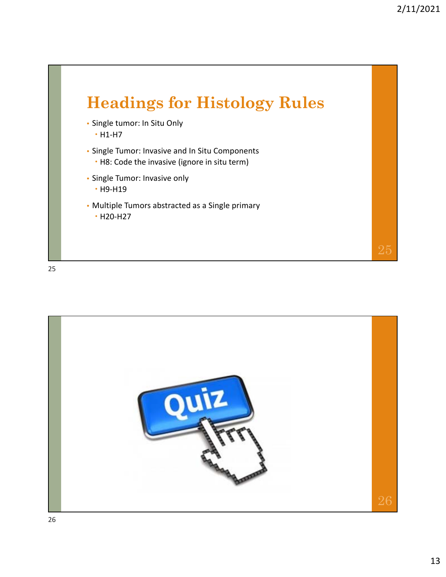

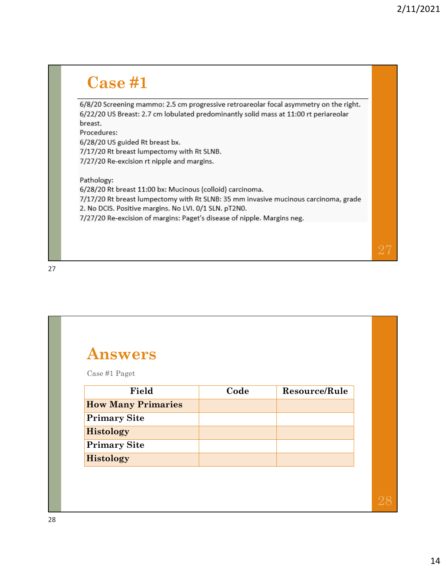#### **Case #1**

6/8/20 Screening mammo: 2.5 cm progressive retroareolar focal asymmetry on the right. 6/22/20 US Breast: 2.7 cm lobulated predominantly solid mass at 11:00 rt periareolar breast.

Procedures:

6/28/20 US guided Rt breast bx.

7/17/20 Rt breast lumpectomy with Rt SLNB.

7/27/20 Re-excision rt nipple and margins.

Pathology:

6/28/20 Rt breast 11:00 bx: Mucinous (colloid) carcinoma. 7/17/20 Rt breast lumpectomy with Rt SLNB: 35 mm invasive mucinous carcinoma, grade 2. No DCIS. Positive margins. No LVI. 0/1 SLN. pT2N0. 7/27/20 Re-excision of margins: Paget's disease of nipple. Margins neg.

27

## **Answers**

Case #1 Paget

| Field                     | Code | Resource/Rule |
|---------------------------|------|---------------|
| <b>How Many Primaries</b> |      |               |
| <b>Primary Site</b>       |      |               |
| <b>Histology</b>          |      |               |
| <b>Primary Site</b>       |      |               |
| <b>Histology</b>          |      |               |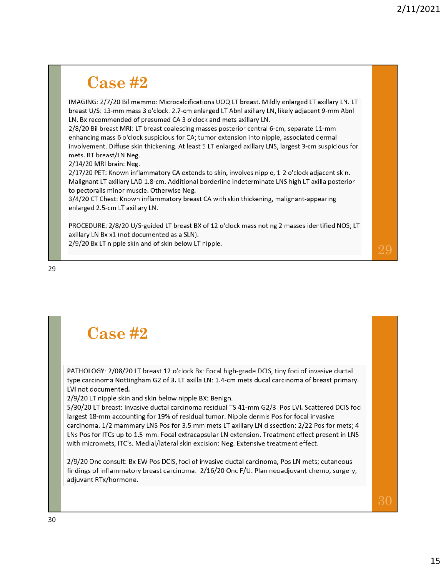#### **Case #2**

IMAGING: 2/7/20 Bil mammo: Microcalcifications UOQ LT breast. Mildly enlarged LT axillary LN. LT breast U/S: 13-mm mass 3 o'clock. 2.7-cm enlarged LT Abnl axillary LN, likely adjacent 9-mm Abnl LN. Bx recommended of presumed CA 3 o'clock and mets axillary LN.

2/8/20 Bil breast MRI: LT breast coalescing masses posterior central 6-cm, separate 11-mm enhancing mass 6 o'clock suspicious for CA; tumor extension into nipple, associated dermal involvement. Diffuse skin thickening. At least 5 LT enlarged axillary LNS, largest 3-cm suspicious for mets. RT breast/LN Neg.

2/14/20 MRI brain: Neg.

2/17/20 PET: Known inflammatory CA extends to skin, involves nipple, 1-2 o'clock adjacent skin. Malignant LT axillary LAD 1.8-cm. Additional borderline indeterminate LNS high LT axilla posterior to pectoralis minor muscle. Otherwise Neg.

3/4/20 CT Chest: Known inflammatory breast CA with skin thickening, malignant-appearing enlarged 2.5-cm LT axillary LN.

PROCEDURE: 2/8/20 U/S-guided LT breast BX of 12 o'clock mass noting 2 masses identified NOS; LT axillary LN Bx x1 (not documented as a SLN).

2/9/20 Bx LT nipple skin and of skin below LT nipple.

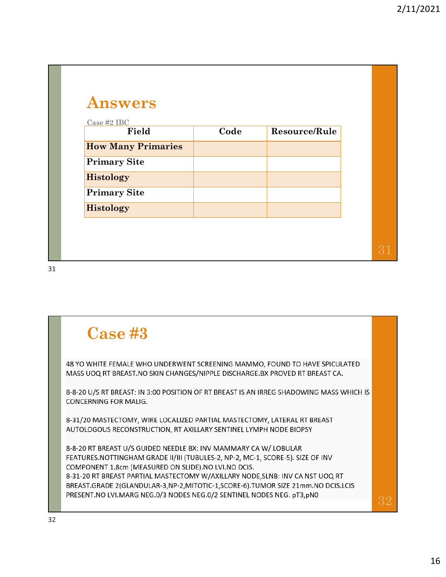| <b>Answers</b><br>Case #2 IBC |      |               |  |
|-------------------------------|------|---------------|--|
| Field                         | Code | Resource/Rule |  |
| <b>How Many Primaries</b>     |      |               |  |
| <b>Primary Site</b>           |      |               |  |
| <b>Histology</b>              |      |               |  |
| <b>Primary Site</b>           |      |               |  |
| <b>Histology</b>              |      |               |  |

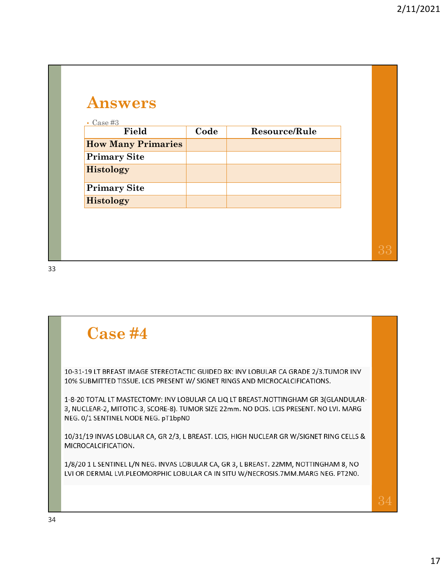| $\text{Case } \#3$        |      |               |  |
|---------------------------|------|---------------|--|
| Field                     | Code | Resource/Rule |  |
| <b>How Many Primaries</b> |      |               |  |
| <b>Primary Site</b>       |      |               |  |
| Histology                 |      |               |  |
| <b>Primary Site</b>       |      |               |  |
| <b>Histology</b>          |      |               |  |

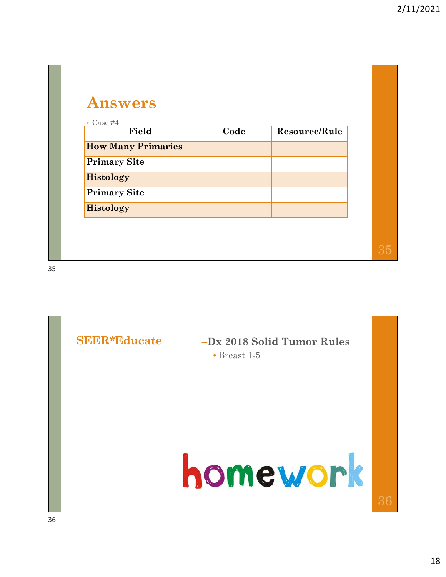| $\text{Case}~\#4$<br>$\bullet$ |      |               |  |
|--------------------------------|------|---------------|--|
| Field                          | Code | Resource/Rule |  |
| <b>How Many Primaries</b>      |      |               |  |
| <b>Primary Site</b>            |      |               |  |
| <b>Histology</b>               |      |               |  |
| <b>Primary Site</b>            |      |               |  |
| <b>Histology</b>               |      |               |  |